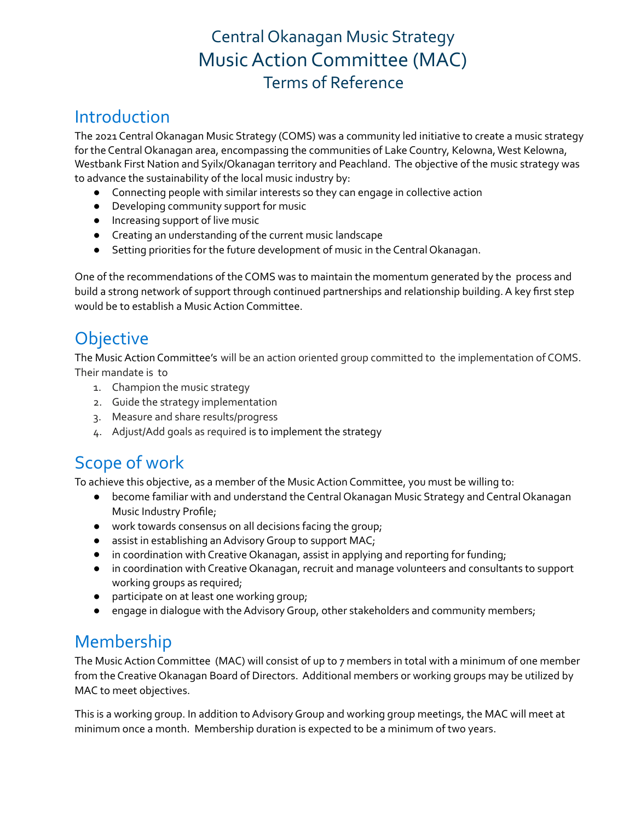# Central Okanagan Music Strategy MusicAction Committee (MAC) Terms of Reference

## Introduction

The 2021 Central Okanagan Music Strategy (COMS) was a community led initiative to create a music strategy for the Central Okanagan area, encompassing the communities of Lake Country, Kelowna, West Kelowna, Westbank First Nation and Syilx/Okanagan territory and Peachland. The objective of the music strategy was to advance the sustainability of the local music industry by:

- Connecting people with similar interests so they can engage in collective action
- Developing community support for music
- Increasing support of live music
- Creating an understanding of the current music landscape
- Setting priorities for the future development of music in the Central Okanagan.

One of the recommendations of the COMS was to maintain the momentum generated by the process and build a strong network of support through continued partnerships and relationship building. A key first step would be to establish a Music Action Committee.

# **Objective**

The Music Action Committee's will be an action oriented group committed to the implementation of COMS. Their mandate is to

- 1. Champion the music strategy
- 2. Guide the strategy implementation
- 3. Measure and share results/progress
- 4. Adjust/Add goals as required is to implement the strategy

# Scope of work

To achieve this objective, as a member of the Music Action Committee, you must be willing to:

- become familiar with and understand the Central Okanagan Music Strategy and Central Okanagan Music Industry Profile;
- work towards consensus on all decisions facing the group;
- assist in establishing an Advisory Group to support MAC;
- in coordination with Creative Okanagan, assist in applying and reporting for funding;
- in coordination with Creative Okanagan, recruit and manage volunteers and consultants to support working groups as required;
- participate on at least one working group;
- engage in dialogue with the Advisory Group, other stakeholders and community members;

## Membership

The Music Action Committee (MAC) will consist of up to 7 members in total with a minimum of one member from the Creative Okanagan Board of Directors. Additional members or working groups may be utilized by MAC to meet objectives.

This is a working group. In addition to Advisory Group and working group meetings, the MAC will meet at minimum once a month. Membership duration is expected to be a minimum of two years.